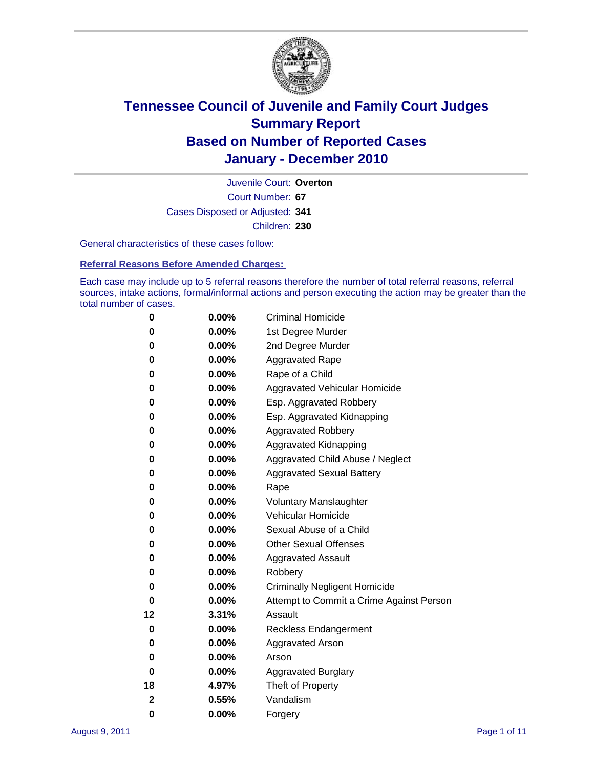

Court Number: **67** Juvenile Court: **Overton** Cases Disposed or Adjusted: **341** Children: **230**

General characteristics of these cases follow:

**Referral Reasons Before Amended Charges:** 

Each case may include up to 5 referral reasons therefore the number of total referral reasons, referral sources, intake actions, formal/informal actions and person executing the action may be greater than the total number of cases.

| 0  | 0.00%    | <b>Criminal Homicide</b>                 |
|----|----------|------------------------------------------|
| 0  | 0.00%    | 1st Degree Murder                        |
| 0  | 0.00%    | 2nd Degree Murder                        |
| 0  | 0.00%    | <b>Aggravated Rape</b>                   |
| 0  | 0.00%    | Rape of a Child                          |
| 0  | 0.00%    | Aggravated Vehicular Homicide            |
| 0  | 0.00%    | Esp. Aggravated Robbery                  |
| 0  | 0.00%    | Esp. Aggravated Kidnapping               |
| 0  | 0.00%    | <b>Aggravated Robbery</b>                |
| 0  | 0.00%    | Aggravated Kidnapping                    |
| 0  | 0.00%    | Aggravated Child Abuse / Neglect         |
| 0  | 0.00%    | <b>Aggravated Sexual Battery</b>         |
| 0  | 0.00%    | Rape                                     |
| 0  | $0.00\%$ | <b>Voluntary Manslaughter</b>            |
| 0  | 0.00%    | Vehicular Homicide                       |
| 0  | 0.00%    | Sexual Abuse of a Child                  |
| 0  | 0.00%    | <b>Other Sexual Offenses</b>             |
| 0  | 0.00%    | <b>Aggravated Assault</b>                |
| 0  | $0.00\%$ | Robbery                                  |
| 0  | 0.00%    | <b>Criminally Negligent Homicide</b>     |
| 0  | 0.00%    | Attempt to Commit a Crime Against Person |
| 12 | 3.31%    | Assault                                  |
| 0  | 0.00%    | <b>Reckless Endangerment</b>             |
| 0  | 0.00%    | <b>Aggravated Arson</b>                  |
| 0  | 0.00%    | Arson                                    |
| 0  | 0.00%    | <b>Aggravated Burglary</b>               |
| 18 | 4.97%    | Theft of Property                        |
| 2  | 0.55%    | Vandalism                                |
| 0  | 0.00%    | Forgery                                  |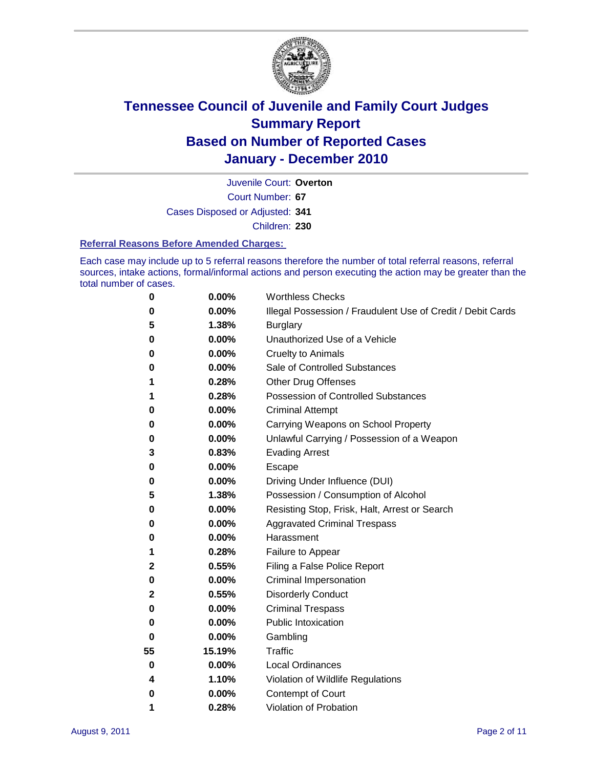

Court Number: **67** Juvenile Court: **Overton** Cases Disposed or Adjusted: **341**

Children: **230**

#### **Referral Reasons Before Amended Charges:**

Each case may include up to 5 referral reasons therefore the number of total referral reasons, referral sources, intake actions, formal/informal actions and person executing the action may be greater than the total number of cases.

| 0  | 0.00%  | <b>Worthless Checks</b>                                     |
|----|--------|-------------------------------------------------------------|
| 0  | 0.00%  | Illegal Possession / Fraudulent Use of Credit / Debit Cards |
| 5  | 1.38%  | <b>Burglary</b>                                             |
| 0  | 0.00%  | Unauthorized Use of a Vehicle                               |
| 0  | 0.00%  | <b>Cruelty to Animals</b>                                   |
| 0  | 0.00%  | Sale of Controlled Substances                               |
| 1  | 0.28%  | <b>Other Drug Offenses</b>                                  |
| 1  | 0.28%  | <b>Possession of Controlled Substances</b>                  |
| 0  | 0.00%  | <b>Criminal Attempt</b>                                     |
| 0  | 0.00%  | Carrying Weapons on School Property                         |
| 0  | 0.00%  | Unlawful Carrying / Possession of a Weapon                  |
| 3  | 0.83%  | <b>Evading Arrest</b>                                       |
| 0  | 0.00%  | Escape                                                      |
| 0  | 0.00%  | Driving Under Influence (DUI)                               |
| 5  | 1.38%  | Possession / Consumption of Alcohol                         |
| 0  | 0.00%  | Resisting Stop, Frisk, Halt, Arrest or Search               |
| 0  | 0.00%  | <b>Aggravated Criminal Trespass</b>                         |
| 0  | 0.00%  | Harassment                                                  |
| 1  | 0.28%  | Failure to Appear                                           |
| 2  | 0.55%  | Filing a False Police Report                                |
| 0  | 0.00%  | Criminal Impersonation                                      |
| 2  | 0.55%  | <b>Disorderly Conduct</b>                                   |
| 0  | 0.00%  | <b>Criminal Trespass</b>                                    |
| 0  | 0.00%  | <b>Public Intoxication</b>                                  |
| 0  | 0.00%  | Gambling                                                    |
| 55 | 15.19% | <b>Traffic</b>                                              |
| 0  | 0.00%  | <b>Local Ordinances</b>                                     |
| 4  | 1.10%  | Violation of Wildlife Regulations                           |
| 0  | 0.00%  | Contempt of Court                                           |
| 1  | 0.28%  | Violation of Probation                                      |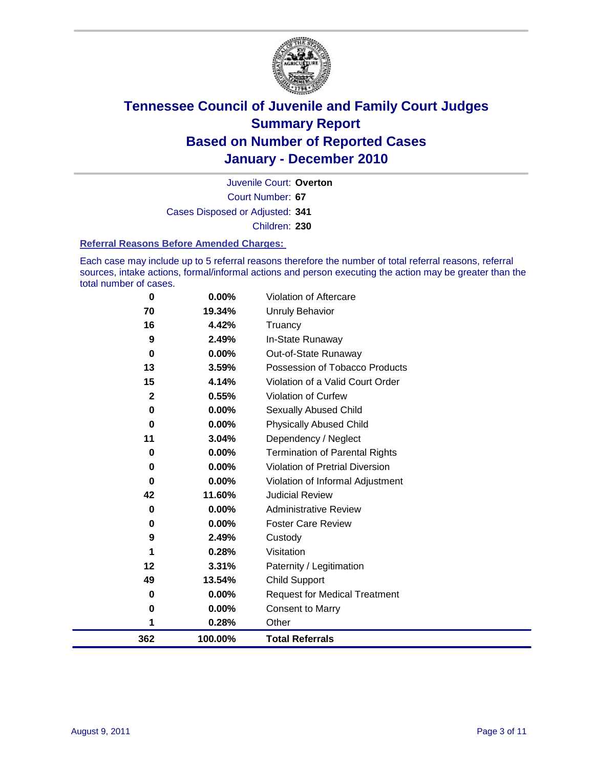

Court Number: **67** Juvenile Court: **Overton** Cases Disposed or Adjusted: **341** Children: **230**

#### **Referral Reasons Before Amended Charges:**

Each case may include up to 5 referral reasons therefore the number of total referral reasons, referral sources, intake actions, formal/informal actions and person executing the action may be greater than the total number of cases.

| 362         | 100.00%  | <b>Total Referrals</b>                 |
|-------------|----------|----------------------------------------|
| 1           | 0.28%    | Other                                  |
| 0           | 0.00%    | <b>Consent to Marry</b>                |
| 0           | $0.00\%$ | <b>Request for Medical Treatment</b>   |
| 49          | 13.54%   | <b>Child Support</b>                   |
| 12          | 3.31%    | Paternity / Legitimation               |
| 1           | 0.28%    | Visitation                             |
| 9           | 2.49%    | Custody                                |
| 0           | $0.00\%$ | <b>Foster Care Review</b>              |
| 0           | $0.00\%$ | <b>Administrative Review</b>           |
| 42          | 11.60%   | <b>Judicial Review</b>                 |
| 0           | $0.00\%$ | Violation of Informal Adjustment       |
| 0           | $0.00\%$ | <b>Violation of Pretrial Diversion</b> |
| 0           | $0.00\%$ | Termination of Parental Rights         |
| 11          | 3.04%    | Dependency / Neglect                   |
| 0           | $0.00\%$ | <b>Physically Abused Child</b>         |
| 0           | 0.00%    | Sexually Abused Child                  |
| $\mathbf 2$ | 0.55%    | Violation of Curfew                    |
| 15          | 4.14%    | Violation of a Valid Court Order       |
| 13          | 3.59%    | Possession of Tobacco Products         |
| $\mathbf 0$ | $0.00\%$ | Out-of-State Runaway                   |
| 9           | 2.49%    | In-State Runaway                       |
| 16          | 4.42%    | Truancy                                |
| 70          | 19.34%   | <b>Unruly Behavior</b>                 |
| 0           | $0.00\%$ | Violation of Aftercare                 |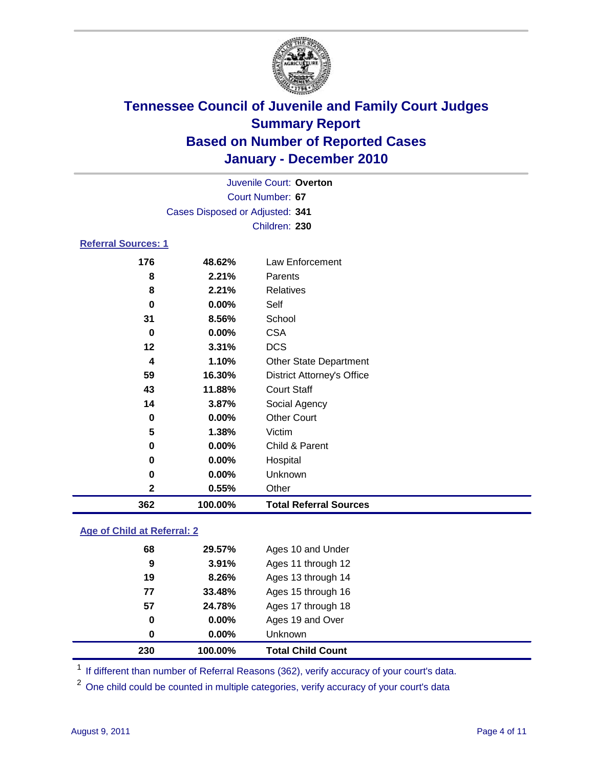

|                            | Juvenile Court: Overton         |                                   |  |  |  |
|----------------------------|---------------------------------|-----------------------------------|--|--|--|
|                            | Court Number: 67                |                                   |  |  |  |
|                            | Cases Disposed or Adjusted: 341 |                                   |  |  |  |
|                            |                                 | Children: 230                     |  |  |  |
| <b>Referral Sources: 1</b> |                                 |                                   |  |  |  |
| 176                        | 48.62%                          | Law Enforcement                   |  |  |  |
| 8                          | 2.21%                           | Parents                           |  |  |  |
| 8                          | 2.21%                           | <b>Relatives</b>                  |  |  |  |
| 0                          | 0.00%                           | Self                              |  |  |  |
| 31                         | 8.56%                           | School                            |  |  |  |
| $\bf{0}$                   | 0.00%                           | <b>CSA</b>                        |  |  |  |
| 12                         | 3.31%                           | <b>DCS</b>                        |  |  |  |
| 4                          | 1.10%                           | <b>Other State Department</b>     |  |  |  |
| 59                         | 16.30%                          | <b>District Attorney's Office</b> |  |  |  |
| 43                         | 11.88%                          | <b>Court Staff</b>                |  |  |  |
| 14                         | 3.87%                           | Social Agency                     |  |  |  |
| 0                          | 0.00%                           | <b>Other Court</b>                |  |  |  |
| 5                          | 1.38%                           | Victim                            |  |  |  |
| 0                          | 0.00%                           | Child & Parent                    |  |  |  |
| 0                          | 0.00%                           | Hospital                          |  |  |  |
| 0                          | 0.00%                           | Unknown                           |  |  |  |
| 2                          | 0.55%                           | Other                             |  |  |  |
| 362                        | 100.00%                         | <b>Total Referral Sources</b>     |  |  |  |

### **Age of Child at Referral: 2**

| 230 | 100.00% | <b>Total Child Count</b> |
|-----|---------|--------------------------|
| 0   | 0.00%   | <b>Unknown</b>           |
| 0   | 0.00%   | Ages 19 and Over         |
| 57  | 24.78%  | Ages 17 through 18       |
| 77  | 33.48%  | Ages 15 through 16       |
| 19  | 8.26%   | Ages 13 through 14       |
| 9   | 3.91%   | Ages 11 through 12       |
| 68  | 29.57%  | Ages 10 and Under        |
|     |         |                          |

<sup>1</sup> If different than number of Referral Reasons (362), verify accuracy of your court's data.

<sup>2</sup> One child could be counted in multiple categories, verify accuracy of your court's data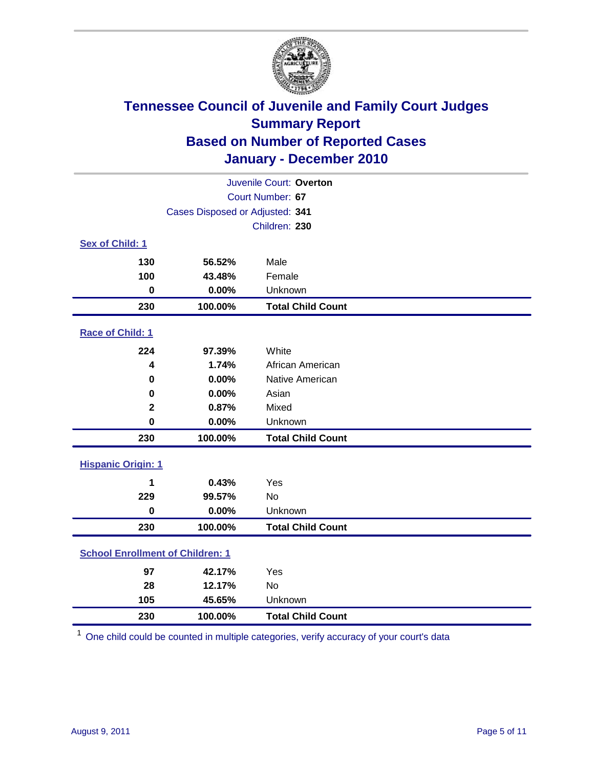

| Juvenile Court: Overton                 |                                 |                          |  |  |  |
|-----------------------------------------|---------------------------------|--------------------------|--|--|--|
| Court Number: 67                        |                                 |                          |  |  |  |
|                                         | Cases Disposed or Adjusted: 341 |                          |  |  |  |
|                                         |                                 | Children: 230            |  |  |  |
| Sex of Child: 1                         |                                 |                          |  |  |  |
| 130                                     | 56.52%                          | Male                     |  |  |  |
| 100                                     | 43.48%                          | Female                   |  |  |  |
| $\mathbf 0$                             | 0.00%                           | Unknown                  |  |  |  |
| 230                                     | 100.00%                         | <b>Total Child Count</b> |  |  |  |
| Race of Child: 1                        |                                 |                          |  |  |  |
| 224                                     | 97.39%                          | White                    |  |  |  |
| 4                                       | 1.74%                           | African American         |  |  |  |
| 0                                       | 0.00%                           | Native American          |  |  |  |
| $\mathbf 0$                             | 0.00%                           | Asian                    |  |  |  |
| $\mathbf 2$                             | 0.87%                           | Mixed                    |  |  |  |
| $\mathbf 0$                             | 0.00%                           | Unknown                  |  |  |  |
| 230                                     | 100.00%                         | <b>Total Child Count</b> |  |  |  |
| <b>Hispanic Origin: 1</b>               |                                 |                          |  |  |  |
| 1                                       | 0.43%                           | Yes                      |  |  |  |
| 229                                     | 99.57%                          | No                       |  |  |  |
| $\mathbf 0$                             | 0.00%                           | Unknown                  |  |  |  |
| 230                                     | 100.00%                         | <b>Total Child Count</b> |  |  |  |
| <b>School Enrollment of Children: 1</b> |                                 |                          |  |  |  |
| 97                                      | 42.17%                          | Yes                      |  |  |  |
| 28                                      | 12.17%                          | <b>No</b>                |  |  |  |
| 105                                     | 45.65%                          | Unknown                  |  |  |  |
| 230                                     | 100.00%                         | <b>Total Child Count</b> |  |  |  |

One child could be counted in multiple categories, verify accuracy of your court's data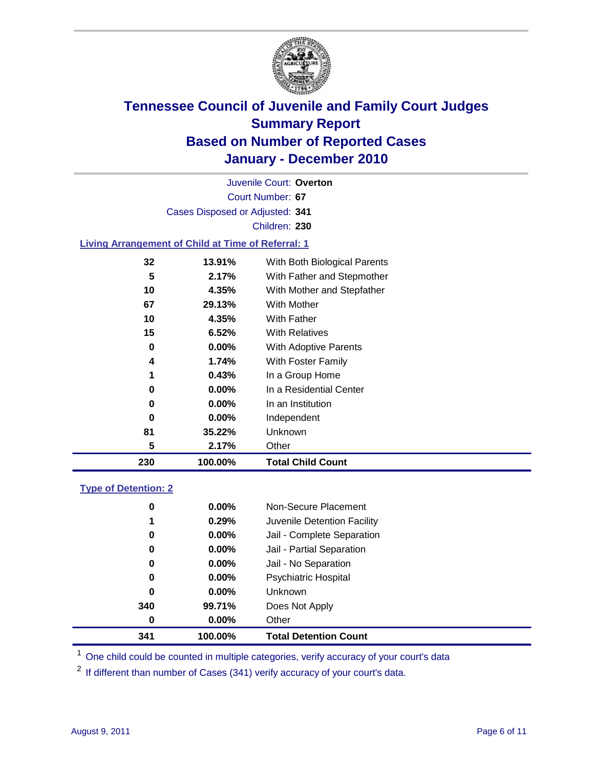

Court Number: **67** Juvenile Court: **Overton** Cases Disposed or Adjusted: **341** Children: **230 Living Arrangement of Child at Time of Referral: 1**

| 230 | 100.00%  | <b>Total Child Count</b>     |
|-----|----------|------------------------------|
| 5   | 2.17%    | Other                        |
| 81  | 35.22%   | Unknown                      |
| 0   | $0.00\%$ | Independent                  |
| 0   | $0.00\%$ | In an Institution            |
| 0   | $0.00\%$ | In a Residential Center      |
| 1   | 0.43%    | In a Group Home              |
| 4   | 1.74%    | With Foster Family           |
| 0   | $0.00\%$ | <b>With Adoptive Parents</b> |
| 15  | 6.52%    | <b>With Relatives</b>        |
| 10  | 4.35%    | With Father                  |
| 67  | 29.13%   | <b>With Mother</b>           |
| 10  | 4.35%    | With Mother and Stepfather   |
| 5   | 2.17%    | With Father and Stepmother   |
| 32  | 13.91%   | With Both Biological Parents |
|     |          |                              |

### **Type of Detention: 2**

| 341 | 100.00%  |          | <b>Total Detention Count</b> |
|-----|----------|----------|------------------------------|
|     | 0        | $0.00\%$ | Other                        |
| 340 |          | 99.71%   | Does Not Apply               |
|     | 0        | $0.00\%$ | <b>Unknown</b>               |
|     | 0        | 0.00%    | <b>Psychiatric Hospital</b>  |
|     | $\bf{0}$ | 0.00%    | Jail - No Separation         |
|     | 0        | $0.00\%$ | Jail - Partial Separation    |
|     | 0        | $0.00\%$ | Jail - Complete Separation   |
|     | 1        | 0.29%    | Juvenile Detention Facility  |
|     | 0        | $0.00\%$ | Non-Secure Placement         |
|     |          |          |                              |

<sup>1</sup> One child could be counted in multiple categories, verify accuracy of your court's data

<sup>2</sup> If different than number of Cases (341) verify accuracy of your court's data.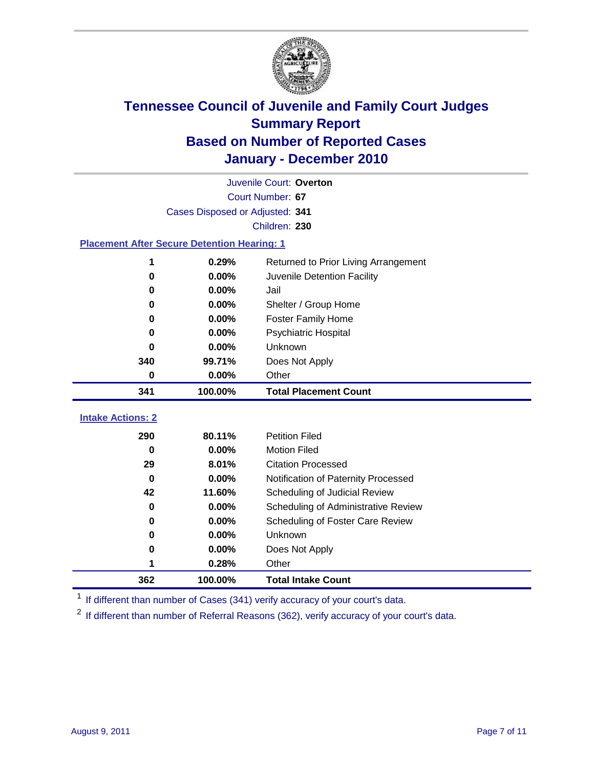

|                                                    | Juvenile Court: Overton         |                                      |  |  |  |
|----------------------------------------------------|---------------------------------|--------------------------------------|--|--|--|
|                                                    | Court Number: 67                |                                      |  |  |  |
|                                                    | Cases Disposed or Adjusted: 341 |                                      |  |  |  |
|                                                    |                                 | Children: 230                        |  |  |  |
| <b>Placement After Secure Detention Hearing: 1</b> |                                 |                                      |  |  |  |
| 1                                                  | 0.29%                           | Returned to Prior Living Arrangement |  |  |  |
| 0                                                  | 0.00%                           | Juvenile Detention Facility          |  |  |  |
| 0                                                  | 0.00%                           | Jail                                 |  |  |  |
| 0                                                  | 0.00%                           | Shelter / Group Home                 |  |  |  |
| 0                                                  | 0.00%                           | <b>Foster Family Home</b>            |  |  |  |
| 0                                                  | 0.00%                           | Psychiatric Hospital                 |  |  |  |
| 0                                                  | 0.00%                           | Unknown                              |  |  |  |
| 340                                                | 99.71%                          | Does Not Apply                       |  |  |  |
| 0                                                  | 0.00%                           | Other                                |  |  |  |
| 341                                                | 100.00%                         | <b>Total Placement Count</b>         |  |  |  |
| <b>Intake Actions: 2</b>                           |                                 |                                      |  |  |  |
|                                                    |                                 |                                      |  |  |  |
| 290                                                | 80.11%                          | <b>Petition Filed</b>                |  |  |  |
| $\bf{0}$                                           | 0.00%                           | <b>Motion Filed</b>                  |  |  |  |
| 29                                                 | 8.01%                           | <b>Citation Processed</b>            |  |  |  |
| $\Omega$                                           | 0.00%                           | Notification of Paternity Processed  |  |  |  |
| 42                                                 | 11.60%                          | Scheduling of Judicial Review        |  |  |  |
| $\bf{0}$                                           | 0.00%                           | Scheduling of Administrative Review  |  |  |  |
| 0                                                  | 0.00%                           | Scheduling of Foster Care Review     |  |  |  |
| 0                                                  | 0.00%                           | Unknown                              |  |  |  |
| 0                                                  | 0.00%                           | Does Not Apply                       |  |  |  |
| 1                                                  | 0.28%                           | Other                                |  |  |  |
| 362                                                | 100.00%                         | <b>Total Intake Count</b>            |  |  |  |

<sup>1</sup> If different than number of Cases (341) verify accuracy of your court's data.

<sup>2</sup> If different than number of Referral Reasons (362), verify accuracy of your court's data.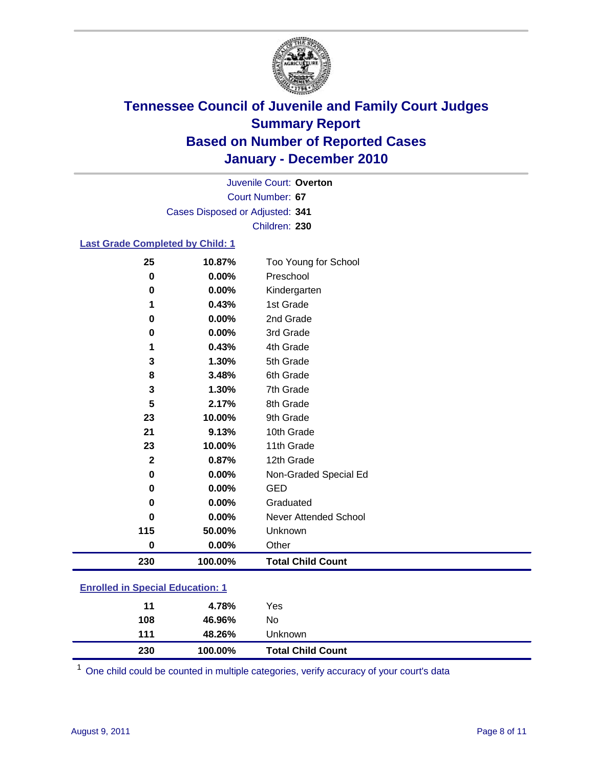

Court Number: **67** Juvenile Court: **Overton** Cases Disposed or Adjusted: **341** Children: **230**

#### **Last Grade Completed by Child: 1**

| 25           | 10.87%                             | Too Young for School         |  |
|--------------|------------------------------------|------------------------------|--|
| 0            | 0.00%                              | Preschool                    |  |
| $\bf{0}$     | 0.00%                              | Kindergarten                 |  |
| 1            | 0.43%                              | 1st Grade                    |  |
| 0            | 0.00%                              | 2nd Grade                    |  |
| 0            | 0.00%                              | 3rd Grade                    |  |
| 1            | 0.43%                              | 4th Grade                    |  |
| 3            | 1.30%                              | 5th Grade                    |  |
| 8            | 3.48%                              | 6th Grade                    |  |
| 3            | 1.30%                              | 7th Grade                    |  |
| 5            | 2.17%                              | 8th Grade                    |  |
| 23           | 10.00%                             | 9th Grade                    |  |
| 21           | 9.13%                              | 10th Grade                   |  |
| 23           | 10.00%                             | 11th Grade                   |  |
| $\mathbf{2}$ | 0.87%                              | 12th Grade                   |  |
| 0            | 0.00%                              | Non-Graded Special Ed        |  |
| $\bf{0}$     | 0.00%                              | <b>GED</b>                   |  |
| 0            | 0.00%                              | Graduated                    |  |
| $\bf{0}$     | 0.00%                              | <b>Never Attended School</b> |  |
| 115          | 50.00%                             | Unknown                      |  |
| $\pmb{0}$    | 0.00%                              | Other                        |  |
| 230          | 100.00%                            | <b>Total Child Count</b>     |  |
|              | an Hard to Orchestal Educations of |                              |  |

### **Enrolled in Special Education: 1**

| 230 | 100.00% | <b>Total Child Count</b> |  |
|-----|---------|--------------------------|--|
| 111 | 48.26%  | <b>Unknown</b>           |  |
| 108 | 46.96%  | No                       |  |
| 11  | 4.78%   | Yes                      |  |
|     |         |                          |  |

One child could be counted in multiple categories, verify accuracy of your court's data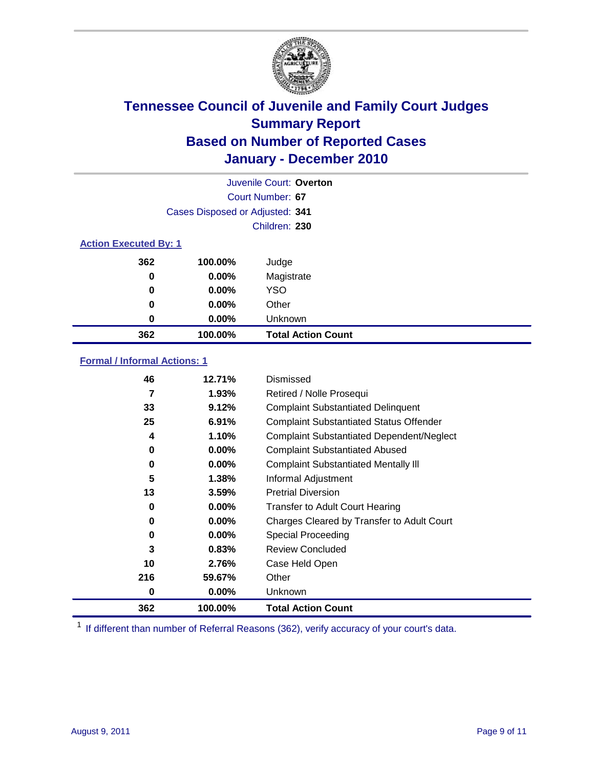

|                              | Juvenile Court: Overton         |                           |  |  |  |
|------------------------------|---------------------------------|---------------------------|--|--|--|
|                              | Court Number: 67                |                           |  |  |  |
|                              | Cases Disposed or Adjusted: 341 |                           |  |  |  |
|                              |                                 | Children: 230             |  |  |  |
| <b>Action Executed By: 1</b> |                                 |                           |  |  |  |
| 362                          | 100.00%                         | Judge                     |  |  |  |
| 0                            | $0.00\%$                        | Magistrate                |  |  |  |
| $\bf{0}$                     | $0.00\%$                        | <b>YSO</b>                |  |  |  |
| 0                            | $0.00\%$                        | Other                     |  |  |  |
| 0                            | 0.00%                           | Unknown                   |  |  |  |
| 362                          | 100.00%                         | <b>Total Action Count</b> |  |  |  |

### **Formal / Informal Actions: 1**

| 46  | 12.71%   | Dismissed                                        |
|-----|----------|--------------------------------------------------|
| 7   | 1.93%    | Retired / Nolle Prosequi                         |
| 33  | 9.12%    | <b>Complaint Substantiated Delinquent</b>        |
| 25  | 6.91%    | <b>Complaint Substantiated Status Offender</b>   |
| 4   | 1.10%    | <b>Complaint Substantiated Dependent/Neglect</b> |
| 0   | 0.00%    | <b>Complaint Substantiated Abused</b>            |
| 0   | $0.00\%$ | <b>Complaint Substantiated Mentally III</b>      |
| 5   | 1.38%    | Informal Adjustment                              |
| 13  | 3.59%    | <b>Pretrial Diversion</b>                        |
| 0   | $0.00\%$ | <b>Transfer to Adult Court Hearing</b>           |
| 0   | $0.00\%$ | Charges Cleared by Transfer to Adult Court       |
| 0   | $0.00\%$ | Special Proceeding                               |
| 3   | 0.83%    | <b>Review Concluded</b>                          |
| 10  | 2.76%    | Case Held Open                                   |
| 216 | 59.67%   | Other                                            |
| 0   | $0.00\%$ | Unknown                                          |
| 362 | 100.00%  | <b>Total Action Count</b>                        |

<sup>1</sup> If different than number of Referral Reasons (362), verify accuracy of your court's data.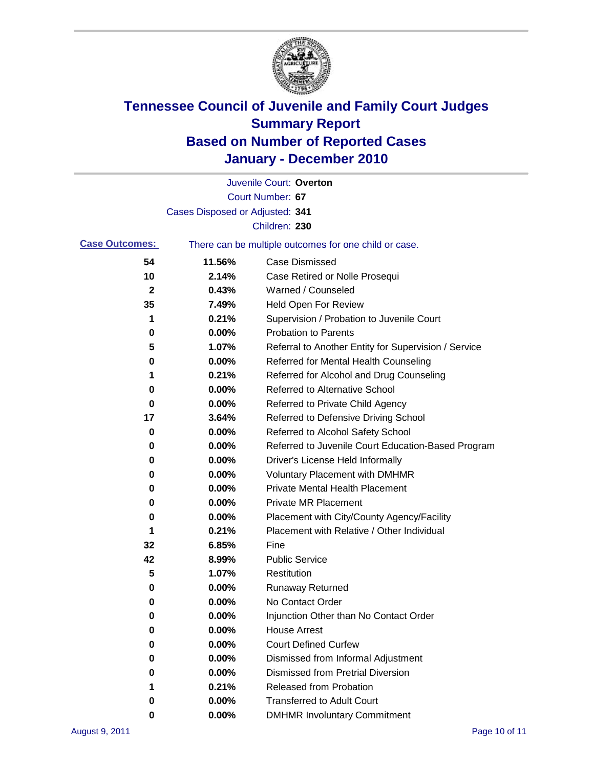

|                       |                                 | Juvenile Court: Overton                               |
|-----------------------|---------------------------------|-------------------------------------------------------|
|                       |                                 | Court Number: 67                                      |
|                       | Cases Disposed or Adjusted: 341 |                                                       |
|                       |                                 | Children: 230                                         |
| <b>Case Outcomes:</b> |                                 | There can be multiple outcomes for one child or case. |
| 54                    | 11.56%                          | <b>Case Dismissed</b>                                 |
| 10                    | 2.14%                           | Case Retired or Nolle Prosequi                        |
| $\mathbf{2}$          | 0.43%                           | Warned / Counseled                                    |
| 35                    | 7.49%                           | Held Open For Review                                  |
| 1                     | 0.21%                           | Supervision / Probation to Juvenile Court             |
| 0                     | 0.00%                           | <b>Probation to Parents</b>                           |
| 5                     | 1.07%                           | Referral to Another Entity for Supervision / Service  |
| 0                     | 0.00%                           | Referred for Mental Health Counseling                 |
| 1                     | 0.21%                           | Referred for Alcohol and Drug Counseling              |
| 0                     | 0.00%                           | Referred to Alternative School                        |
| 0                     | 0.00%                           | Referred to Private Child Agency                      |
| 17                    | 3.64%                           | Referred to Defensive Driving School                  |
| 0                     | 0.00%                           | Referred to Alcohol Safety School                     |
| 0                     | 0.00%                           | Referred to Juvenile Court Education-Based Program    |
| 0                     | 0.00%                           | Driver's License Held Informally                      |
| 0                     | 0.00%                           | <b>Voluntary Placement with DMHMR</b>                 |
| 0                     | 0.00%                           | <b>Private Mental Health Placement</b>                |
| 0                     | 0.00%                           | <b>Private MR Placement</b>                           |
| 0                     | 0.00%                           | Placement with City/County Agency/Facility            |
| 1                     | 0.21%                           | Placement with Relative / Other Individual            |
| 32                    | 6.85%                           | Fine                                                  |
| 42                    | 8.99%                           | <b>Public Service</b>                                 |
| 5                     | 1.07%                           | Restitution                                           |
| 0                     | 0.00%                           | <b>Runaway Returned</b>                               |
| 0                     | 0.00%                           | No Contact Order                                      |
| 0                     | 0.00%                           | Injunction Other than No Contact Order                |
| 0                     | 0.00%                           | <b>House Arrest</b>                                   |
| 0                     | 0.00%                           | <b>Court Defined Curfew</b>                           |
| 0                     | 0.00%                           | Dismissed from Informal Adjustment                    |
| 0                     | $0.00\%$                        | <b>Dismissed from Pretrial Diversion</b>              |
| 1                     | 0.21%                           | Released from Probation                               |
| 0                     | $0.00\%$                        | <b>Transferred to Adult Court</b>                     |
| 0                     | $0.00\%$                        | <b>DMHMR Involuntary Commitment</b>                   |